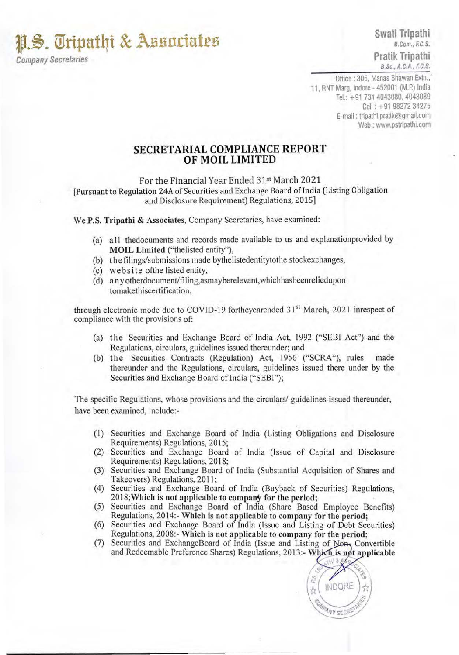**11.S. Tripathi & Associates** 

Company Secretaries

Office : 306, Manas Bhawan Extn., <sup>11</sup> , RNT Marg, Indore- 452001 (M.P.) India Tel.: +91 731 4043080, 4043089 Cell : + 91 98272 34275 E-mail : tripathi.pratik@gmail.com Web : www.pstripathi.com

## **SECRETARIAL COMPLIANCE REPORT OF MOIL LIMITED**

For the Financial Year Ended 31st March 2021 [Pursuant to Regulation 24A of Securities and Exchange Board of India (Listing Obligation and Disclosure Requirement) Regulations, 2015)

We P.S. Tripathi & Associates, Company Secretaries, have examined:

- (a) a II thedocuments and records made available to us and explanationprovided by MOIL Limited ("thelisted entity"),
- (b) the filings/submissions made bythelistedentitytothe stockexchanges,
- (c) website ofthe listed entity,
- (d) any otherdocument/filing,asmayberelevant, whichhasbeenreliedupon tomakethiscertification,

through electronic mode due to COVID-19 fortheyearended 31<sup>st</sup> March, 2021 inrespect of compliance with the provisions of:

- (a) the Securities and Exchange Board of India Act, 1992 ("SEBI Act") and the Regulations, circulars, guidelines issued thereunder; and
- (b) the Securities Contracts (Regulation) Act, 1956 ("SCRA"), rules made thereunder and the Regulations, circulars, guidelines issued there under by the Securities and Exchange Board of India ("SEBI");

The specific Regulations, whose provisions and the circulars/ guidelines issued thereunder, have been examined, include:-

- (I) Securities and Exchange Board of India (Listing Obligations and Disclosure Requirements) Regulations, 2015;
- (2) Securities and Exchange Board of India (Issue of Capital and Disclosure Requirements) Regulations, 2018;
- (3) Securities and Exchange Board of India (Substantial Acquisition of Shares and Takeovers) Regulations, 2011;
- (4) Securities and Exchange Board of India (Buyback of Securities) Regulations, 2018; Which is not applicable to company for the period;
- (5) Securities and Exchange Board of India (Share Based Employee Benefits) Regulations, 2014:- Which is not applicable to company for the period;
- (6) Securities and Exchange Board of India (Issue and Listing of Debt Securities) Regulations, 2008:- Which is not applicable to company for the period;
- (7) Securities and ExchangeBoard of India (Issue and Listing of Non-Convertible and Redeemable Preference Shares) Regulations, 2013:- Which is not applicable

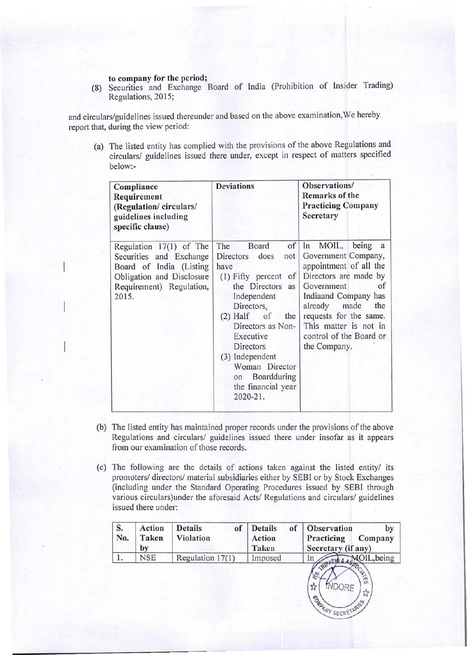## to company for the period;

(8) Securities and Exchange Board of India (Prohibition of Insider Trading) Regulations, 2015;

and circulars/guidelines issued thereunder and based on the above examination, We hereby report that, during the view period:

(a) The listed entity has complied with the provisions of the above Regulations and circulars/ guidelines issued there under, except in respect of matters specified below:-

| Compliance<br>Requirement<br>(Regulation/circulars/<br>guidelines including<br>specific clause)                                                 | <b>Deviations</b>                                                                                                                                                                                                                                                                                          | Observations/<br>Remarks of the<br><b>Practicing Company</b><br>Secretary                                                                                                                                                                                               |
|-------------------------------------------------------------------------------------------------------------------------------------------------|------------------------------------------------------------------------------------------------------------------------------------------------------------------------------------------------------------------------------------------------------------------------------------------------------------|-------------------------------------------------------------------------------------------------------------------------------------------------------------------------------------------------------------------------------------------------------------------------|
| Regulation 17(1) of The<br>Securities and Exchange<br>Board of India (Listing<br>Obligation and Disclosure<br>Requirement) Regulation,<br>2015. | of<br>The<br>Board<br>does<br>Directors<br>not<br>have<br>of<br>$(1)$ Fifty percent<br>the Directors<br>as<br>Independent<br>Directors.<br>$(2)$ Half of<br>the<br>Directors as Non-<br>Executive<br>Directors<br>(3) Independent<br>Woman Director<br>Boardduring<br>on<br>the financial year<br>2020-21. | MOIL,<br>being<br>In<br>a<br>Government Company,<br>appointment of all the<br>Directors are made by<br>Government<br>of<br>Indiaand Company has<br>made<br>the<br>already<br>requests for the same.<br>This matter is not in<br>control of the Board or<br>the Company. |

- (b) The listed entity has maintained proper records under the provisions of the above Regulations and circulars/ guidelines issued there under insofar as it appears from our examination of those records.
- (c) The following are the details of actions taken against the listed entity/ its promoters/ directors/ material subsidiaries either by SEBI or by Stock Exchanges (including under the Standard Operating Procedures issued by SEBI through various circulars)under the aforesaid Acts/ Regulations and circulars/ guidelines issued there under:

| <b>Violation</b><br>Action | Practicing<br>Secretary (if any) | Observation<br>by<br>Company |
|----------------------------|----------------------------------|------------------------------|
| Regulation 17(1)           | 1 <sub>n</sub>                   | MOIL, being<br><b>POCIAL</b> |
|                            |                                  | Taken<br>Imposed             |

**PANY SECRETAR**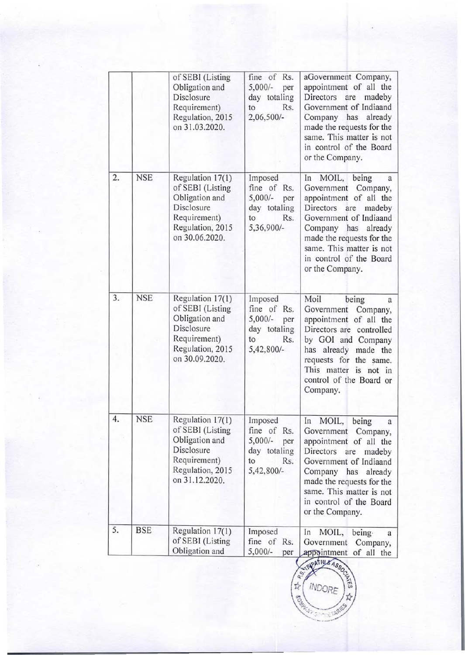|    |            | of SEBI (Listing<br>Obligation and<br>Disclosure<br>Requirement)<br>Regulation, 2015<br>on 31.03.2020.                     | fine of Rs.<br>$5,000/-$<br>per<br>day totaling<br>Rs.<br>to<br>2,06,500/-            | aGovernment Company,<br>appointment of all the<br>Directors<br>are<br>madeby<br>Government of Indiaand<br>Company has<br>already<br>made the requests for the<br>same. This matter is not<br>in control of the Board<br>or the Company.                                |
|----|------------|----------------------------------------------------------------------------------------------------------------------------|---------------------------------------------------------------------------------------|------------------------------------------------------------------------------------------------------------------------------------------------------------------------------------------------------------------------------------------------------------------------|
| 2. | <b>NSE</b> | Regulation 17(1)<br>of SEBI (Listing<br>Obligation and<br>Disclosure<br>Requirement)<br>Regulation, 2015<br>on 30.06.2020. | Imposed<br>fine of Rs.<br>$5,000/-$<br>per<br>day totaling<br>to<br>Rs.<br>5,36,900/- | In MOIL, being<br>a<br>Government<br>Company,<br>appointment of all the<br>Directors<br>are<br>madeby<br>Government of Indiaand<br>Company has<br>already<br>made the requests for the<br>same. This matter is not<br>in control of the Board<br>or the Company.       |
| 3. | <b>NSE</b> | Regulation 17(1)<br>of SEBI (Listing<br>Obligation and<br>Disclosure<br>Requirement)<br>Regulation, 2015<br>on 30.09.2020. | Imposed<br>fine of Rs.<br>$5,000/-$<br>per<br>day totaling<br>to<br>Rs.<br>5,42,800/- | Moil<br>being<br>a<br>Company,<br>Government<br>appointment of all the<br>Directors are controlled<br>by GOI and Company<br>has already<br>made the<br>requests for<br>the same.<br>This matter is not in<br>control of the Board or<br>Company.                       |
| 4. | <b>NSE</b> | Regulation 17(1)<br>of SEBI (Listing<br>Obligation and<br>Disclosure<br>Requirement)<br>Regulation, 2015<br>on 31.12.2020. | Imposed<br>fine of Rs.<br>$5,000/-$<br>per<br>day totaling<br>to<br>Rs.<br>5,42,800/- | MOIL,<br>In<br>being<br>a<br>Government<br>Company,<br>appointment of all the<br>Directors<br>are<br>madeby<br>Government of Indiaand<br>Company has<br>already<br>made the requests for the<br>same. This matter is not<br>in control of the Board<br>or the Company. |
| 5. | <b>BSE</b> | Regulation 17(1)<br>of SEBI (Listing<br>Obligation and                                                                     | Imposed<br>fine of Rs.<br>$5,000/-$<br>per                                            | In<br>MOIL,<br>being.<br>a<br>Government<br>Company,<br>of all the<br>appointment                                                                                                                                                                                      |

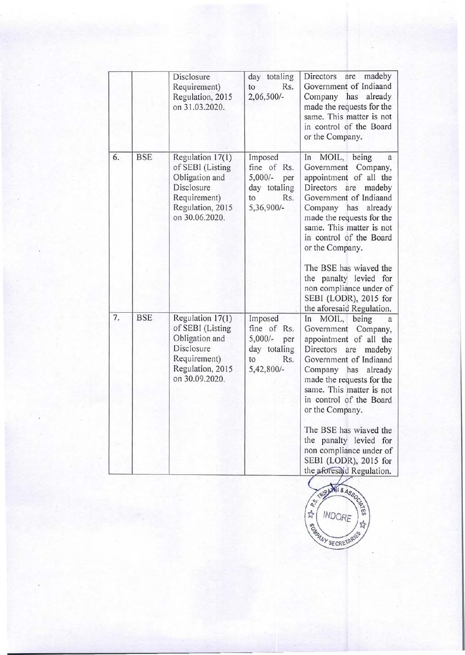|    |            | Disclosure<br>Requirement)<br>Regulation, 2015<br>on 31.03.2020.                                                           | day totaling<br>to<br>Rs.<br>2,06,500/-                                               | madeby<br>Directors<br>are<br>Government of Indiaand<br>Company<br>has already<br>made the requests for the<br>same. This matter is not<br>in control of the Board<br>or the Company.                                                                                                                                                                                                                                                 |
|----|------------|----------------------------------------------------------------------------------------------------------------------------|---------------------------------------------------------------------------------------|---------------------------------------------------------------------------------------------------------------------------------------------------------------------------------------------------------------------------------------------------------------------------------------------------------------------------------------------------------------------------------------------------------------------------------------|
| 6. | <b>BSE</b> | Regulation 17(1)<br>of SEBI (Listing<br>Obligation and<br>Disclosure<br>Requirement)<br>Regulation, 2015<br>on 30.06.2020. | Imposed<br>fine of Rs.<br>$5,000/-$<br>per<br>day totaling<br>Rs.<br>to<br>5,36,900/- | MOIL, being<br>In<br>a<br>Company,<br>Government<br>appointment of all the<br>Directors<br>are<br>madeby<br>Government of Indiaand<br>Company<br>already<br>has<br>made the requests for the<br>same. This matter is not<br>in control of the Board<br>or the Company.<br>The BSE has wiaved the<br>the panalty levied for<br>non compliance under of<br>SEBI (LODR), 2015 for                                                        |
| 7. | <b>BSE</b> | Regulation 17(1)<br>of SEBI (Listing<br>Obligation and<br>Disclosure<br>Requirement)<br>Regulation, 2015<br>on 30.09.2020. | Imposed<br>fine of Rs.<br>$5,000/-$<br>per<br>day totaling<br>to<br>Rs.<br>5,42,800/- | the aforesaid Regulation.<br>MOIL,<br>being<br>In<br>a<br>Government Company,<br>appointment of all the<br>Directors<br>are<br>madeby<br>Government of Indiaand<br>Company has<br>already<br>made the requests for the<br>same. This matter is not<br>in control of the Board<br>or the Company.<br>The BSE has wiaved the<br>the panalty levied for<br>non compliance under of<br>SEBI (LODR), 2015 for<br>the aforesaid Regulation. |

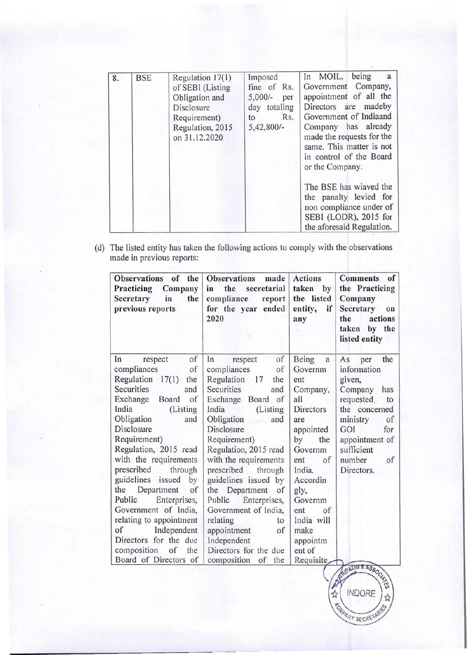| 8. | <b>BSE</b> | Regulation $17(1)$<br>of SEBI (Listing<br>Obligation and<br><b>Disclosure</b><br>Requirement)<br>Regulation, 2015<br>on 31.12.2020 | Imposed<br>fine of Rs.<br>$5,000/-$ per<br>day totaling<br>Rs.<br>to<br>$5,42,800/-$ | In MOIL, being<br>a<br>Government Company,<br>appointment of all the<br>Directors are madeby<br>Government of Indiaand<br>Company has already<br>made the requests for the<br>same. This matter is not<br>in control of the Board<br>or the Company. |  |
|----|------------|------------------------------------------------------------------------------------------------------------------------------------|--------------------------------------------------------------------------------------|------------------------------------------------------------------------------------------------------------------------------------------------------------------------------------------------------------------------------------------------------|--|
|    |            |                                                                                                                                    |                                                                                      | The BSE has wiaved the<br>the panalty levied for<br>non compliance under of<br>SEBI (LODR), 2015 for<br>the aforesaid Regulation.                                                                                                                    |  |

(d) The listed entity has taken the following actions to comply with the observations made in previous reports:

| Observations of<br>the<br>Company<br>Practicing<br>in<br>the<br>Secretary<br>previous reports | <b>Observations</b><br>made<br>the<br>secretarial<br>in<br>compliance<br>report<br>for the year ended<br>2020 | <b>Actions</b><br>taken by<br>the listed<br>if<br>entity,<br>any | of<br><b>Comments</b><br>the Practicing<br>Company<br>Secretary<br>on<br>the<br>actions<br>by the<br>taken<br>listed entity |
|-----------------------------------------------------------------------------------------------|---------------------------------------------------------------------------------------------------------------|------------------------------------------------------------------|-----------------------------------------------------------------------------------------------------------------------------|
| of<br>In<br>respect<br>compliances<br>of                                                      | of<br>In<br>respect<br>of<br>compliances                                                                      | Being<br>$\mathbf{a}$<br>Governm                                 | the<br>As<br>per<br>information                                                                                             |
| Regulation 17(1)<br>the                                                                       | Regulation 17<br>the                                                                                          | ent                                                              | given,                                                                                                                      |
| Securities<br>and                                                                             | Securities<br>and                                                                                             | Company,                                                         | Company<br>has                                                                                                              |
| Exchange Board<br>of                                                                          | Exchange Board of                                                                                             | all                                                              | requested.<br>to                                                                                                            |
| India<br>(Listing                                                                             | India<br>(Listing)                                                                                            | Directors                                                        | the concerned                                                                                                               |
| Obligation<br>and                                                                             | Obligation<br>and<br>and .                                                                                    | are                                                              | ministry<br>of                                                                                                              |
| Disclosure                                                                                    | Disclosure                                                                                                    | appointed                                                        | GOI<br>for                                                                                                                  |
| Requirement)                                                                                  | Requirement)                                                                                                  | by<br>the                                                        | appointment of                                                                                                              |
| Regulation, 2015 read                                                                         | Regulation, 2015 read                                                                                         | Governm                                                          | sufficient                                                                                                                  |
| with the requirements                                                                         | with the requirements                                                                                         | of<br>ent                                                        | number<br>of                                                                                                                |
| prescribed<br>through                                                                         | prescribed through                                                                                            | India.                                                           | Directors.                                                                                                                  |
| guidelines issued<br>by                                                                       | guidelines issued by                                                                                          | Accordin                                                         |                                                                                                                             |
| the<br>Department<br>of                                                                       | the Department of                                                                                             | gly,                                                             |                                                                                                                             |
| Public<br>Enterprises,                                                                        | Public Enterprises,                                                                                           | Governm                                                          |                                                                                                                             |
| Government of India,                                                                          | Government of India,                                                                                          | ent<br>of                                                        |                                                                                                                             |
| relating to appointment                                                                       | relating<br>to                                                                                                | India will                                                       |                                                                                                                             |
| of<br>Independent                                                                             | appointment<br>of                                                                                             | make                                                             |                                                                                                                             |
| Directors for the due                                                                         | Independent                                                                                                   | appointm                                                         |                                                                                                                             |
| composition<br>of<br>the                                                                      | Directors for the due                                                                                         | ent of                                                           |                                                                                                                             |
| Board of Directors of                                                                         | composition<br>of<br>the                                                                                      | Requisite                                                        | OATHI & AS.O.                                                                                                               |

**COMMANY SECRETARY**